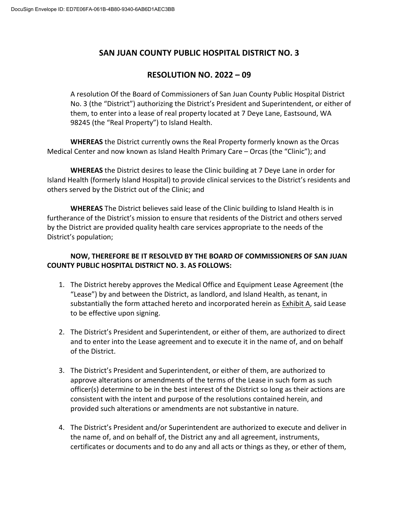## **SAN JUAN COUNTY PUBLIC HOSPITAL DISTRICT NO. 3**

## **RESOLUTION NO. 2022 – 09**

A resolution Of the Board of Commissioners of San Juan County Public Hospital District No. 3 (the "District") authorizing the District's President and Superintendent, or either of them, to enter into a lease of real property located at 7 Deye Lane, Eastsound, WA 98245 (the "Real Property") to Island Health.

**WHEREAS** the District currently owns the Real Property formerly known as the Orcas Medical Center and now known as Island Health Primary Care – Orcas (the "Clinic"); and

**WHEREAS** the District desires to lease the Clinic building at 7 Deye Lane in order for Island Health (formerly Island Hospital) to provide clinical services to the District's residents and others served by the District out of the Clinic; and

**WHEREAS** The District believes said lease of the Clinic building to Island Health is in furtherance of the District's mission to ensure that residents of the District and others served by the District are provided quality health care services appropriate to the needs of the District's population;

## **NOW, THEREFORE BE IT RESOLVED BY THE BOARD OF COMMISSIONERS OF SAN JUAN COUNTY PUBLIC HOSPITAL DISTRICT NO. 3. AS FOLLOWS:**

- 1. The District hereby approves the Medical Office and Equipment Lease Agreement (the "Lease") by and between the District, as landlord, and Island Health, as tenant, in substantially the form attached hereto and incorporated herein as **Exhibit A**, said Lease to be effective upon signing.
- 2. The District's President and Superintendent, or either of them, are authorized to direct and to enter into the Lease agreement and to execute it in the name of, and on behalf of the District.
- 3. The District's President and Superintendent, or either of them, are authorized to approve alterations or amendments of the terms of the Lease in such form as such officer(s) determine to be in the best interest of the District so long as their actions are consistent with the intent and purpose of the resolutions contained herein, and provided such alterations or amendments are not substantive in nature.
- 4. The District's President and/or Superintendent are authorized to execute and deliver in the name of, and on behalf of, the District any and all agreement, instruments, certificates or documents and to do any and all acts or things as they, or ether of them,